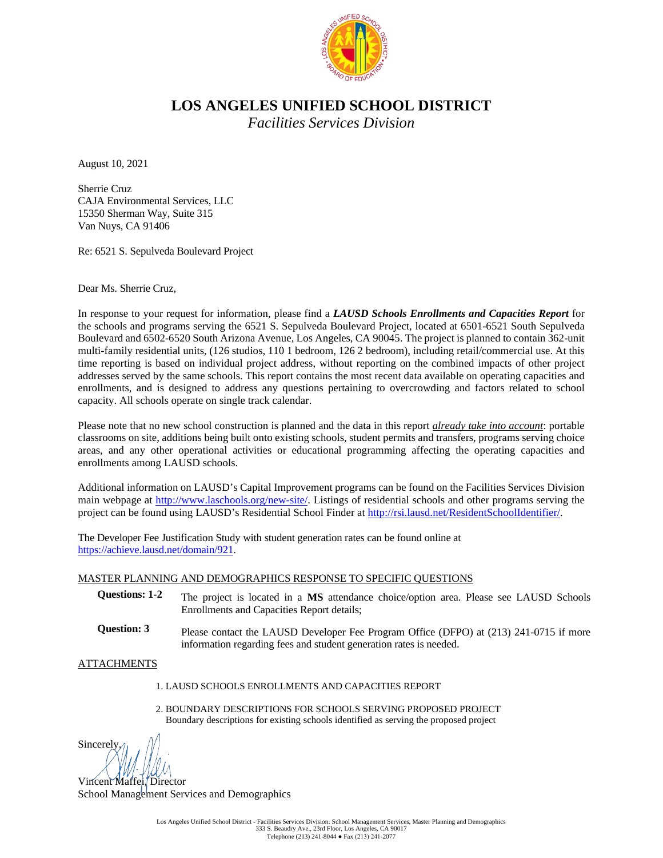

# **LOS ANGELES UNIFIED SCHOOL DISTRICT**

*Facilities Services Division*

August 10, 2021

Sherrie Cruz CAJA Environmental Services, LLC 15350 Sherman Way, Suite 315 Van Nuys, CA 91406

Re: 6521 S. Sepulveda Boulevard Project

Dear Ms. Sherrie Cruz,

In response to your request for information, please find a *LAUSD Schools Enrollments and Capacities Report* for the schools and programs serving the 6521 S. Sepulveda Boulevard Project, located at 6501-6521 South Sepulveda Boulevard and 6502-6520 South Arizona Avenue, Los Angeles, CA 90045. The project is planned to contain 362-unit multi-family residential units, (126 studios, 110 1 bedroom, 126 2 bedroom), including retail/commercial use. At this time reporting is based on individual project address, without reporting on the combined impacts of other project addresses served by the same schools. This report contains the most recent data available on operating capacities and enrollments, and is designed to address any questions pertaining to overcrowding and factors related to school capacity. All schools operate on single track calendar.

Please note that no new school construction is planned and the data in this report *already take into account*: portable classrooms on site, additions being built onto existing schools, student permits and transfers, programs serving choice areas, and any other operational activities or educational programming affecting the operating capacities and enrollments among LAUSD schools.

Additional information on LAUSD's Capital Improvement programs can be found on the Facilities Services Division main webpage at [http://www.laschools.org/new-site/.](http://www.laschools.org/new-site/) Listings of residential schools and other programs serving the project can be found using LAUSD's Residential School Finder a[t http://rsi.lausd.net/ResidentSchoolIdentifier/.](http://rsi.lausd.net/ResidentSchoolIdentifier/)

The Developer Fee Justification Study with student generation rates can be found online at [https://achieve.lausd.net/domain/921.](https://achieve.lausd.net/domain/921)

#### MASTER PLANNING AND DEMOGRAPHICS RESPONSE TO SPECIFIC QUESTIONS

- **Questions: 1-2** The project is located in a **MS** attendance choice/option area. Please see LAUSD Schools Enrollments and Capacities Report details;
- **Question: 3** Please contact the LAUSD Developer Fee Program Office (DFPO) at (213) 241-0715 if more information regarding fees and student generation rates is needed.

ATTACHMENTS

- 1. LAUSD SCHOOLS ENROLLMENTS AND CAPACITIES REPORT
- 2. BOUNDARY DESCRIPTIONS FOR SCHOOLS SERVING PROPOSED PROJECT Boundary descriptions for existing schools identified as serving the proposed project

Sincerely,

Vincent Maffei, Director School Management Services and Demographics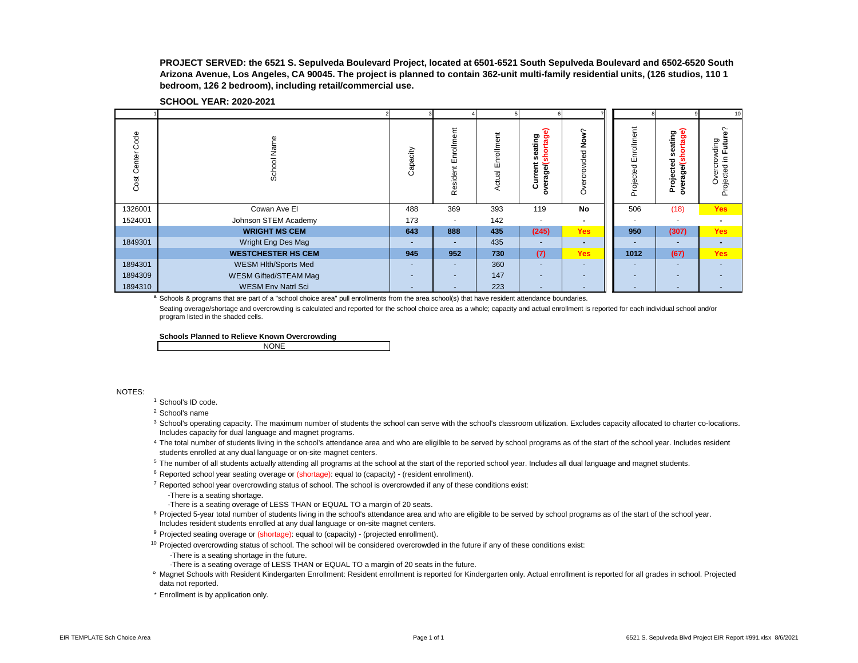**PROJECT SERVED: the 6521 S. Sepulveda Boulevard Project, located at 6501-6521 South Sepulveda Boulevard and 6502-6520 South Arizona Avenue, Los Angeles, CA 90045. The project is planned to contain 362-unit multi-family residential units, (126 studios, 110 1 bedroom, 126 2 bedroom), including retail/commercial use.**

| <b>SCHOOL YEAR: 2020-2021</b> |  |
|-------------------------------|--|
|-------------------------------|--|

|                     |                           |                          |                           |                          |                                                                       |                          |                         |                                                         | 10                                                     |
|---------------------|---------------------------|--------------------------|---------------------------|--------------------------|-----------------------------------------------------------------------|--------------------------|-------------------------|---------------------------------------------------------|--------------------------------------------------------|
| Code<br>Cost Center | Name<br>School            | Capacity                 | rollment<br>띧<br>Resident | nrollment<br>Ш<br>Actual | ଇ<br>ating<br>ō<br>은<br>ō<br>80<br>듰<br>urrent<br>age/<br>à<br>ပ<br>٥ | ş<br>ರ<br>ğ<br>rcro<br>Ò | Enrollment<br>Projected | age)<br>seating<br>o<br>ठ<br>age/<br>Projecte<br>ត<br>o | ္ဖ<br>Futur<br>ding<br>ā<br>Projected in<br>verci<br>Ò |
| 1326001             | Cowan Ave El              | 488                      | 369                       | 393                      | 119                                                                   | No                       | 506                     | (18)                                                    | <b>Yes</b>                                             |
| 1524001             | Johnson STEM Academy      | 173                      | ٠                         | 142                      |                                                                       |                          |                         |                                                         |                                                        |
|                     | <b>WRIGHT MS CEM</b>      | 643                      | 888                       | 435                      | (245)                                                                 | <b>Yes</b>               | 950                     | (307)                                                   | Yes                                                    |
| 1849301             | Wright Eng Des Mag        | $\overline{\phantom{a}}$ | $\overline{\phantom{a}}$  | 435                      |                                                                       |                          |                         |                                                         |                                                        |
|                     | <b>WESTCHESTER HS CEM</b> | 945                      | 952                       | 730                      | (7)                                                                   | <b>Yes</b>               | 1012                    | (67)                                                    | <b>Yes</b>                                             |
| 1894301             | WESM Hlth/Sports Med      | $\sim$                   | $\overline{\phantom{a}}$  | 360                      | $\overline{a}$                                                        | -                        |                         |                                                         |                                                        |
| 1894309             | WESM Gifted/STEAM Mag     | $\overline{\phantom{0}}$ | ٠                         | 147                      | $\overline{\phantom{a}}$                                              | ۰                        |                         | -                                                       |                                                        |
| 1894310             | <b>WESM Env Natrl Sci</b> | $\overline{\phantom{0}}$ | ٠                         | 223                      | $\overline{\phantom{a}}$                                              | -                        |                         |                                                         |                                                        |

a Schools & programs that are part of a "school choice area" pull enrollments from the area school(s) that have resident attendance boundaries.

Seating overage/shortage and overcrowding is calculated and reported for the school choice area as a whole; capacity and actual enrollment is reported for each individual school and/or program listed in the shaded cells.

**Schools Planned to Relieve Known Overcrowding**

| <b>NONE</b><br>. |  |
|------------------|--|
|                  |  |

NOTES:

- <sup>1</sup> School's ID code.
- <sup>2</sup> School's name
- <sup>3</sup> School's operating capacity. The maximum number of students the school can serve with the school's classroom utilization. Excludes capacity allocated to charter co-locations. Includes capacity for dual language and magnet programs.
- 4 The total number of students living in the school's attendance area and who are eligilble to be served by school programs as of the start of the school year. Includes resident students enrolled at any dual language or on-site magnet centers.
- <sup>5</sup> The number of all students actually attending all programs at the school at the start of the reported school year. Includes all dual language and magnet students.
- $6$  Reported school year seating overage or (shortage): equal to (capacity) (resident enrollment).
- $7$  Reported school year overcrowding status of school. The school is overcrowded if any of these conditions exist:
	- -There is a seating shortage.
	- -There is a seating overage of LESS THAN or EQUAL TO a margin of 20 seats.
- <sup>8</sup> Projected 5-year total number of students living in the school's attendance area and who are eligible to be served by school programs as of the start of the school year. Includes resident students enrolled at any dual language or on-site magnet centers.
- <sup>9</sup> Projected seating overage or (shortage): equal to (capacity) (projected enrollment).
- $10$  Projected overcrowding status of school. The school will be considered overcrowded in the future if any of these conditions exist:
	- -There is a seating shortage in the future.
	- -There is a seating overage of LESS THAN or EQUAL TO a margin of 20 seats in the future.
- ° Magnet Schools with Resident Kindergarten Enrollment: Resident enrollment is reported for Kindergarten only. Actual enrollment is reported for all grades in school. Projected data not reported.
- \* Enrollment is by application only.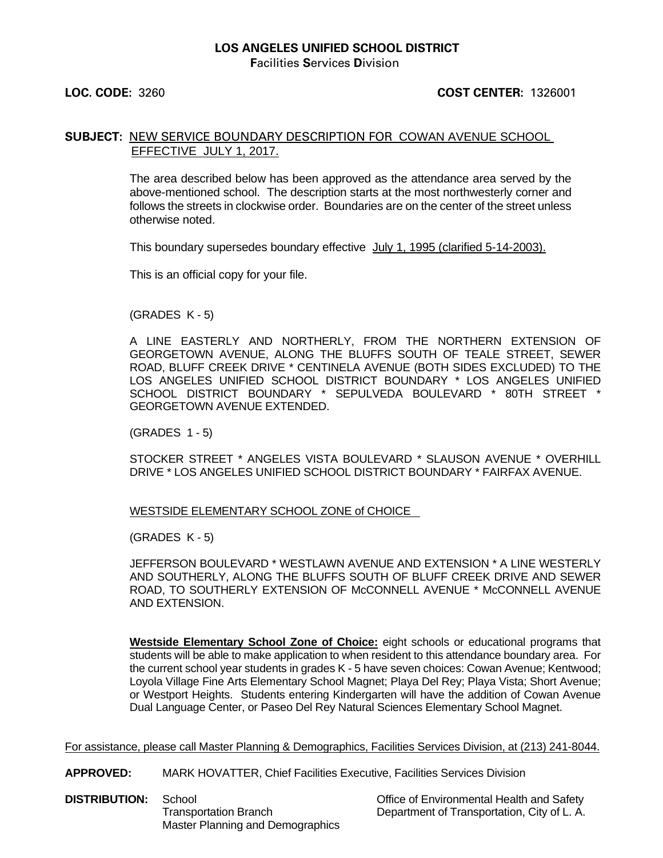## **LOS ANGELES UNIFIED SCHOOL DISTRICT**

**F**acilities **S**ervices **D**ivision

#### **LOC. CODE:** 3260 **COST CENTER:** 1326001

#### **SUBJECT:** NEW SERVICE BOUNDARY DESCRIPTION FOR COWAN AVENUE SCHOOL EFFECTIVE JULY 1, 2017.

The area described below has been approved as the attendance area served by the above-mentioned school. The description starts at the most northwesterly corner and follows the streets in clockwise order. Boundaries are on the center of the street unless otherwise noted.

This boundary supersedes boundary effective July 1, 1995 (clarified 5-14-2003).

This is an official copy for your file.

(GRADES K - 5)

A LINE EASTERLY AND NORTHERLY, FROM THE NORTHERN EXTENSION OF GEORGETOWN AVENUE, ALONG THE BLUFFS SOUTH OF TEALE STREET, SEWER ROAD, BLUFF CREEK DRIVE \* CENTINELA AVENUE (BOTH SIDES EXCLUDED) TO THE LOS ANGELES UNIFIED SCHOOL DISTRICT BOUNDARY \* LOS ANGELES UNIFIED SCHOOL DISTRICT BOUNDARY \* SEPULVEDA BOULEVARD \* 80TH STREET \* GEORGETOWN AVENUE EXTENDED.

(GRADES 1 - 5)

STOCKER STREET \* ANGELES VISTA BOULEVARD \* SLAUSON AVENUE \* OVERHILL DRIVE \* LOS ANGELES UNIFIED SCHOOL DISTRICT BOUNDARY \* FAIRFAX AVENUE.

WESTSIDE ELEMENTARY SCHOOL ZONE of CHOICE

(GRADES K - 5)

JEFFERSON BOULEVARD \* WESTLAWN AVENUE AND EXTENSION \* A LINE WESTERLY AND SOUTHERLY, ALONG THE BLUFFS SOUTH OF BLUFF CREEK DRIVE AND SEWER ROAD, TO SOUTHERLY EXTENSION OF McCONNELL AVENUE \* McCONNELL AVENUE AND EXTENSION.

**Westside Elementary School Zone of Choice:** eight schools or educational programs that students will be able to make application to when resident to this attendance boundary area. For the current school year students in grades K - 5 have seven choices: Cowan Avenue; Kentwood; Loyola Village Fine Arts Elementary School Magnet; Playa Del Rey; Playa Vista; Short Avenue; or Westport Heights. Students entering Kindergarten will have the addition of Cowan Avenue Dual Language Center, or Paseo Del Rey Natural Sciences Elementary School Magnet.

For assistance, please call Master Planning & Demographics, Facilities Services Division, at (213) 241-8044.

**APPROVED:** MARK HOVATTER, Chief Facilities Executive, Facilities Services Division

**DISTRIBUTION:** School **Contained School** Office of Environmental Health and Safety<br>Transportation Branch **Containers** Department of Transportation. City of L.A. Master Planning and Demographics

Department of Transportation, City of L. A.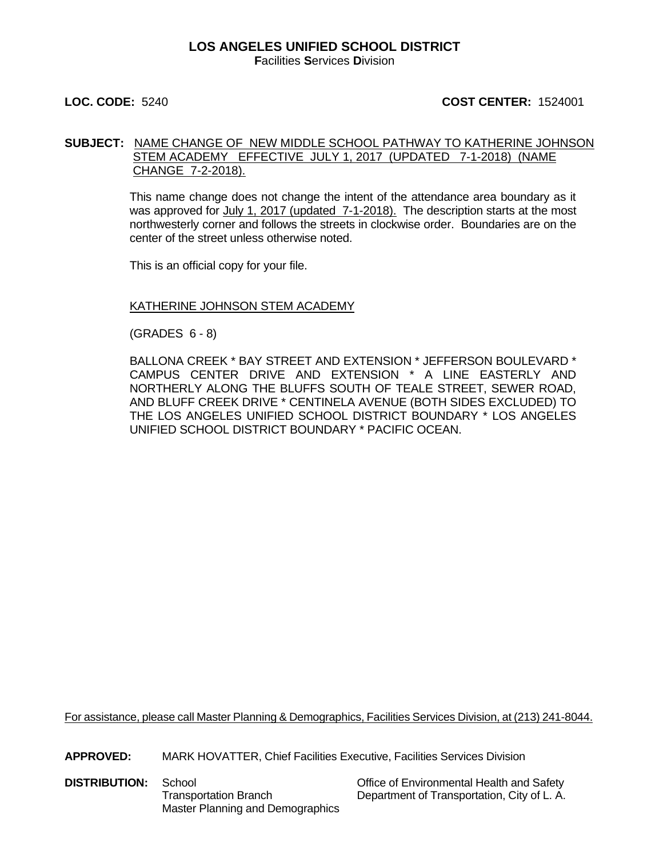#### **LOS ANGELES UNIFIED SCHOOL DISTRICT F**acilities **S**ervices **D**ivision

#### **LOC. CODE:** 5240 **COST CENTER:** 1524001

#### **SUBJECT:** NAME CHANGE OF NEW MIDDLE SCHOOL PATHWAY TO KATHERINE JOHNSON STEM ACADEMY EFFECTIVE JULY 1, 2017 (UPDATED 7-1-2018) (NAME CHANGE 7-2-2018).

This name change does not change the intent of the attendance area boundary as it was approved for July 1, 2017 (updated 7-1-2018). The description starts at the most northwesterly corner and follows the streets in clockwise order. Boundaries are on the center of the street unless otherwise noted.

This is an official copy for your file.

#### KATHERINE JOHNSON STEM ACADEMY

(GRADES 6 - 8)

BALLONA CREEK \* BAY STREET AND EXTENSION \* JEFFERSON BOULEVARD \* CAMPUS CENTER DRIVE AND EXTENSION \* A LINE EASTERLY AND NORTHERLY ALONG THE BLUFFS SOUTH OF TEALE STREET, SEWER ROAD, AND BLUFF CREEK DRIVE \* CENTINELA AVENUE (BOTH SIDES EXCLUDED) TO THE LOS ANGELES UNIFIED SCHOOL DISTRICT BOUNDARY \* LOS ANGELES UNIFIED SCHOOL DISTRICT BOUNDARY \* PACIFIC OCEAN.

For assistance, please call Master Planning & Demographics, Facilities Services Division, at (213) 241-8044.

**APPROVED:** MARK HOVATTER, Chief Facilities Executive, Facilities Services Division

**DISTRIBUTION:** School **Contact School** Cffice of Environmental Health and Safety Master Planning and Demographics

Transportation Branch Department of Transportation, City of L. A.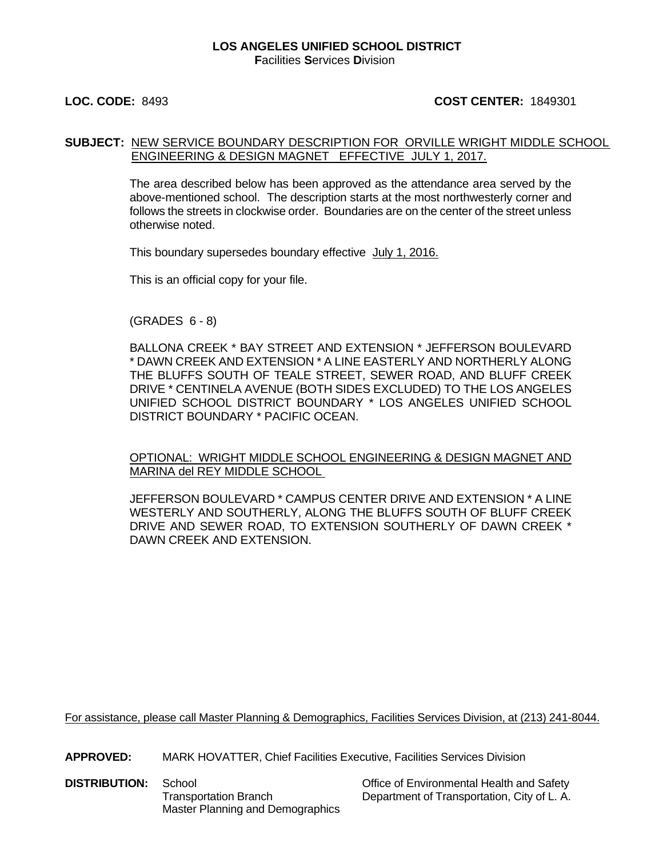#### **LOS ANGELES UNIFIED SCHOOL DISTRICT F**acilities **S**ervices **D**ivision

### **LOC. CODE:** 8493 **COST CENTER:** 1849301

#### **SUBJECT:** NEW SERVICE BOUNDARY DESCRIPTION FOR ORVILLE WRIGHT MIDDLE SCHOOL ENGINEERING & DESIGN MAGNET EFFECTIVE JULY 1, 2017.

The area described below has been approved as the attendance area served by the above-mentioned school. The description starts at the most northwesterly corner and follows the streets in clockwise order. Boundaries are on the center of the street unless otherwise noted.

This boundary supersedes boundary effective July 1, 2016.

This is an official copy for your file.

(GRADES 6 - 8)

BALLONA CREEK \* BAY STREET AND EXTENSION \* JEFFERSON BOULEVARD \* DAWN CREEK AND EXTENSION \* A LINE EASTERLY AND NORTHERLY ALONG THE BLUFFS SOUTH OF TEALE STREET, SEWER ROAD, AND BLUFF CREEK DRIVE \* CENTINELA AVENUE (BOTH SIDES EXCLUDED) TO THE LOS ANGELES UNIFIED SCHOOL DISTRICT BOUNDARY \* LOS ANGELES UNIFIED SCHOOL DISTRICT BOUNDARY \* PACIFIC OCEAN.

OPTIONAL: WRIGHT MIDDLE SCHOOL ENGINEERING & DESIGN MAGNET AND MARINA del REY MIDDLE SCHOOL

JEFFERSON BOULEVARD \* CAMPUS CENTER DRIVE AND EXTENSION \* A LINE WESTERLY AND SOUTHERLY, ALONG THE BLUFFS SOUTH OF BLUFF CREEK DRIVE AND SEWER ROAD, TO EXTENSION SOUTHERLY OF DAWN CREEK \* DAWN CREEK AND EXTENSION.

For assistance, please call Master Planning & Demographics, Facilities Services Division, at (213) 241-8044.

**APPROVED:** MARK HOVATTER, Chief Facilities Executive, Facilities Services Division

**DISTRIBUTION:** School **Contact School** Christian Christian Christian Christian Christian Christian Christian Christian Christian Christian Christian Christian Christian Christian Christian Christian Christian Christian Ch Master Planning and Demographics

Transportation Branch Department of Transportation, City of L. A.